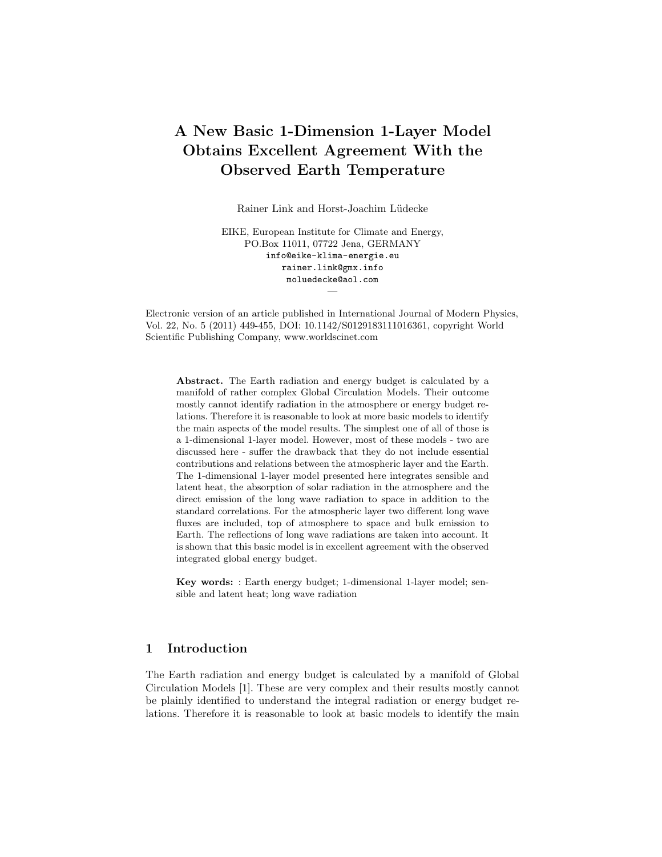# A New Basic 1-Dimension 1-Layer Model Obtains Excellent Agreement With the Observed Earth Temperature

Rainer Link and Horst-Joachim Lüdecke

EIKE, European Institute for Climate and Energy, PO.Box 11011, 07722 Jena, GERMANY info@eike-klima-energie.eu rainer.link@gmx.info moluedecke@aol.com

Electronic version of an article published in International Journal of Modern Physics, Vol. 22, No. 5 (2011) 449-455, DOI: 10.1142/S0129183111016361, copyright World Scientific Publishing Company, www.worldscinet.com

—

Abstract. The Earth radiation and energy budget is calculated by a manifold of rather complex Global Circulation Models. Their outcome mostly cannot identify radiation in the atmosphere or energy budget relations. Therefore it is reasonable to look at more basic models to identify the main aspects of the model results. The simplest one of all of those is a 1-dimensional 1-layer model. However, most of these models - two are discussed here - suffer the drawback that they do not include essential contributions and relations between the atmospheric layer and the Earth. The 1-dimensional 1-layer model presented here integrates sensible and latent heat, the absorption of solar radiation in the atmosphere and the direct emission of the long wave radiation to space in addition to the standard correlations. For the atmospheric layer two different long wave fluxes are included, top of atmosphere to space and bulk emission to Earth. The reflections of long wave radiations are taken into account. It is shown that this basic model is in excellent agreement with the observed integrated global energy budget.

Key words: : Earth energy budget; 1-dimensional 1-layer model; sensible and latent heat; long wave radiation

## 1 Introduction

The Earth radiation and energy budget is calculated by a manifold of Global Circulation Models [1]. These are very complex and their results mostly cannot be plainly identified to understand the integral radiation or energy budget relations. Therefore it is reasonable to look at basic models to identify the main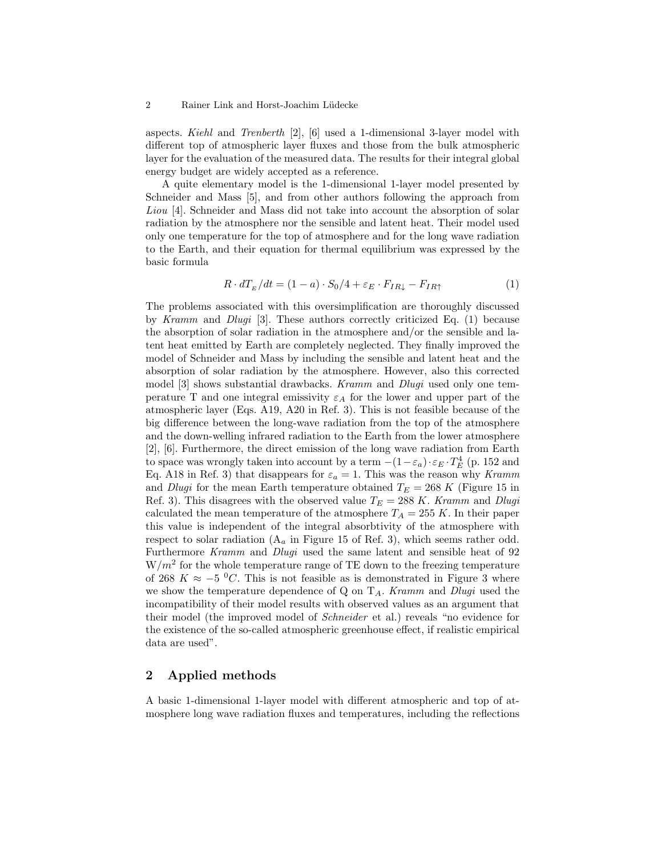#### 2 Rainer Link and Horst-Joachim Lüdecke

aspects. Kiehl and Trenberth [2], [6] used a 1-dimensional 3-layer model with different top of atmospheric layer fluxes and those from the bulk atmospheric layer for the evaluation of the measured data. The results for their integral global energy budget are widely accepted as a reference.

A quite elementary model is the 1-dimensional 1-layer model presented by Schneider and Mass [5], and from other authors following the approach from Liou [4]. Schneider and Mass did not take into account the absorption of solar radiation by the atmosphere nor the sensible and latent heat. Their model used only one temperature for the top of atmosphere and for the long wave radiation to the Earth, and their equation for thermal equilibrium was expressed by the basic formula

$$
R \cdot dT_E/dt = (1 - a) \cdot S_0/4 + \varepsilon_E \cdot F_{IR\downarrow} - F_{IR\uparrow}
$$
 (1)

The problems associated with this oversimplification are thoroughly discussed by Kramm and Dlugi [3]. These authors correctly criticized Eq. (1) because the absorption of solar radiation in the atmosphere and/or the sensible and latent heat emitted by Earth are completely neglected. They finally improved the model of Schneider and Mass by including the sensible and latent heat and the absorption of solar radiation by the atmosphere. However, also this corrected model [3] shows substantial drawbacks. Kramm and Dlugi used only one temperature T and one integral emissivity  $\varepsilon_A$  for the lower and upper part of the atmospheric layer (Eqs. A19, A20 in Ref. 3). This is not feasible because of the big difference between the long-wave radiation from the top of the atmosphere and the down-welling infrared radiation to the Earth from the lower atmosphere [2], [6]. Furthermore, the direct emission of the long wave radiation from Earth to space was wrongly taken into account by a term  $-(1-\varepsilon_a)\cdot \varepsilon_E \cdot T_E^4$  (p. 152 and Eq. A18 in Ref. 3) that disappears for  $\varepsilon_a = 1$ . This was the reason why Kramm and *Dlugi* for the mean Earth temperature obtained  $T_E = 268 K$  (Figure 15 in Ref. 3). This disagrees with the observed value  $T_E = 288 K$ . Kramm and Dlugi calculated the mean temperature of the atmosphere  $T_A = 255 K$ . In their paper this value is independent of the integral absorbtivity of the atmosphere with respect to solar radiation  $(A_a \text{ in Figure 15 of Ref. 3}),$  which seems rather odd. Furthermore Kramm and Dlugi used the same latent and sensible heat of 92  $W/m^2$  for the whole temperature range of TE down to the freezing temperature of 268 K ≈  $-5$  °C. This is not feasible as is demonstrated in Figure 3 where we show the temperature dependence of Q on  $T_A$ . Kramm and Dlugi used the incompatibility of their model results with observed values as an argument that their model (the improved model of Schneider et al.) reveals "no evidence for the existence of the so-called atmospheric greenhouse effect, if realistic empirical data are used".

### 2 Applied methods

A basic 1-dimensional 1-layer model with different atmospheric and top of atmosphere long wave radiation fluxes and temperatures, including the reflections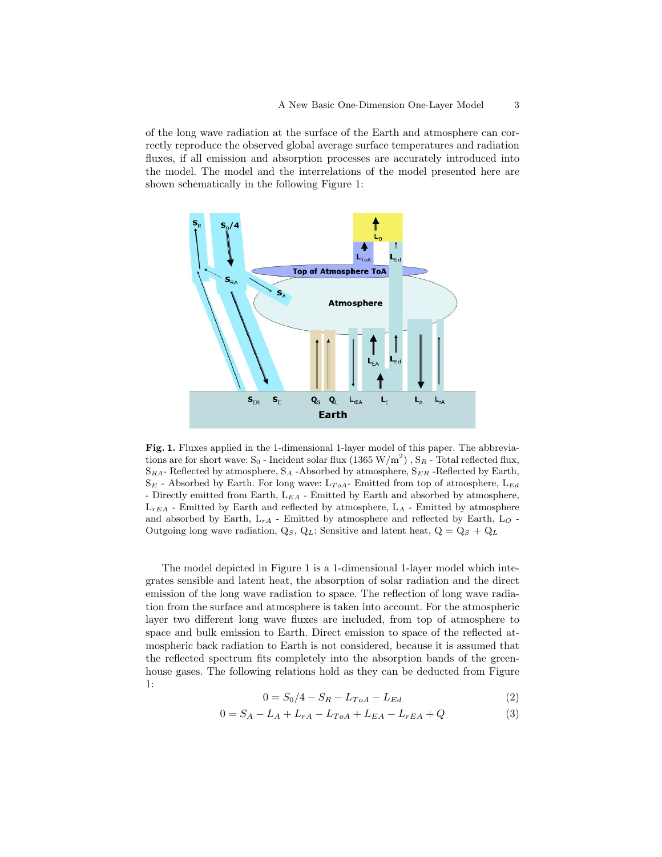of the long wave radiation at the surface of the Earth and atmosphere can correctly reproduce the observed global average surface temperatures and radiation fluxes, if all emission and absorption processes are accurately introduced into the model. The model and the interrelations of the model presented here are shown schematically in the following Figure 1:



Fig. 1. Fluxes applied in the 1-dimensional 1-layer model of this paper. The abbreviations are for short wave: S<sub>0</sub> - Incident solar flux (1365 W/m<sup>2</sup>), S<sub>R</sub> - Total reflected flux,  $S_{RA}$ - Reflected by atmosphere,  $S_A$ -Absorbed by atmosphere,  $S_{ER}$ -Reflected by Earth,  $S_E$  - Absorbed by Earth. For long wave:  $L_{ToA}$ - Emitted from top of atmosphere,  $L_{Ed}$ - Directly emitted from Earth,  $L_{EA}$  - Emitted by Earth and absorbed by atmosphere,  $L_{rEA}$  - Emitted by Earth and reflected by atmosphere,  $L_A$  - Emitted by atmosphere and absorbed by Earth,  $\mathcal{L}_{rA}$  - Emitted by atmosphere and reflected by Earth,  $\mathcal{L}_{O}$  -Outgoing long wave radiation,  $Q_S$ ,  $Q_L$ : Sensitive and latent heat,  $Q = Q_S + Q_L$ 

The model depicted in Figure 1 is a 1-dimensional 1-layer model which integrates sensible and latent heat, the absorption of solar radiation and the direct emission of the long wave radiation to space. The reflection of long wave radiation from the surface and atmosphere is taken into account. For the atmospheric layer two different long wave fluxes are included, from top of atmosphere to space and bulk emission to Earth. Direct emission to space of the reflected atmospheric back radiation to Earth is not considered, because it is assumed that the reflected spectrum fits completely into the absorption bands of the greenhouse gases. The following relations hold as they can be deducted from Figure 1:

$$
0 = S_0/4 - S_R - L_{ToA} - L_{Ed}
$$
 (2)

$$
0 = S_A - L_A + L_{rA} - L_{ToA} + L_{EA} - L_{rEA} + Q \tag{3}
$$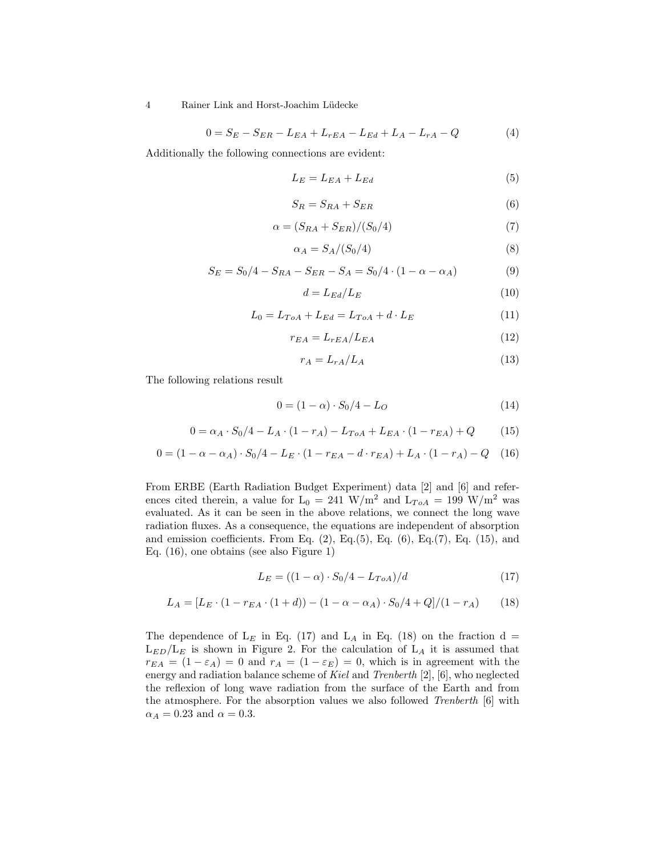4 Rainer Link and Horst-Joachim Lüdecke

$$
0 = S_E - S_{ER} - L_{EA} + L_{rEA} - L_{Ed} + L_A - L_{rA} - Q \tag{4}
$$

Additionally the following connections are evident:

$$
L_E = L_{EA} + L_{Ed} \tag{5}
$$

$$
S_R = S_{RA} + S_{ER} \tag{6}
$$

$$
\alpha = (S_{RA} + S_{ER})/(S_0/4) \tag{7}
$$

$$
\alpha_A = S_A / (S_0 / 4) \tag{8}
$$

$$
S_E = S_0/4 - S_{RA} - S_{ER} - S_A = S_0/4 \cdot (1 - \alpha - \alpha_A)
$$
 (9)

$$
d = L_{Ed}/L_E \tag{10}
$$

$$
L_0 = L_{ToA} + L_{Ed} = L_{ToA} + d \cdot L_E
$$
\n(11)

$$
r_{EA} = L_{rEA} / L_{EA} \tag{12}
$$

$$
r_A = L_{rA}/L_A \tag{13}
$$

The following relations result

$$
0 = (1 - \alpha) \cdot S_0 / 4 - L_O \tag{14}
$$

$$
0 = \alpha_A \cdot S_0/4 - L_A \cdot (1 - r_A) - L_{ToA} + L_{EA} \cdot (1 - r_{EA}) + Q \tag{15}
$$

$$
0 = (1 - \alpha - \alpha_A) \cdot S_0 / 4 - L_E \cdot (1 - r_{EA} - d \cdot r_{EA}) + L_A \cdot (1 - r_A) - Q \quad (16)
$$

From ERBE (Earth Radiation Budget Experiment) data [2] and [6] and references cited therein, a value for  $L_0 = 241 \text{ W/m}^2$  and  $L_{ToA} = 199 \text{ W/m}^2$  was evaluated. As it can be seen in the above relations, we connect the long wave radiation fluxes. As a consequence, the equations are independent of absorption and emission coefficients. From Eq.  $(2)$ , Eq. $(5)$ , Eq.  $(6)$ , Eq. $(7)$ , Eq.  $(15)$ , and Eq. (16), one obtains (see also Figure 1)

$$
L_E = ((1 - \alpha) \cdot S_0 / 4 - L_{ToA}) / d \tag{17}
$$

$$
L_A = [L_E \cdot (1 - r_{EA} \cdot (1 + d)) - (1 - \alpha - \alpha_A) \cdot S_0/4 + Q]/(1 - r_A)
$$
 (18)

The dependence of  $L_E$  in Eq. (17) and  $L_A$  in Eq. (18) on the fraction d =  $L_{ED}/L_E$  is shown in Figure 2. For the calculation of  $L_A$  it is assumed that  $r_{EA} = (1 - \varepsilon_A) = 0$  and  $r_A = (1 - \varepsilon_E) = 0$ , which is in agreement with the energy and radiation balance scheme of Kiel and Trenberth [2], [6], who neglected the reflexion of long wave radiation from the surface of the Earth and from the atmosphere. For the absorption values we also followed Trenberth [6] with  $\alpha_A = 0.23$  and  $\alpha = 0.3$ .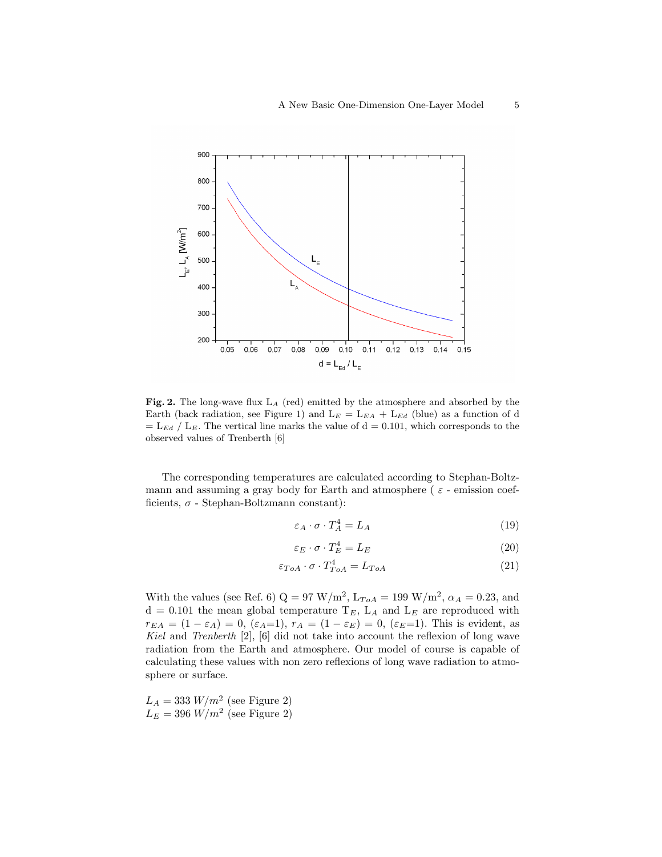

Fig. 2. The long-wave flux L<sup>A</sup> (red) emitted by the atmosphere and absorbed by the Earth (back radiation, see Figure 1) and  $L_E = L_{EA} + L_{Ed}$  (blue) as a function of d  $=$  L<sub>Ed</sub> / L<sub>E</sub>. The vertical line marks the value of d = 0.101, which corresponds to the observed values of Trenberth [6]

The corresponding temperatures are calculated according to Stephan-Boltzmann and assuming a gray body for Earth and atmosphere ( $\varepsilon$  - emission coefficients,  $\sigma$  - Stephan-Boltzmann constant):

$$
\varepsilon_A \cdot \sigma \cdot T_A^4 = L_A \tag{19}
$$

$$
\varepsilon_E \cdot \sigma \cdot T_E^4 = L_E \tag{20}
$$

$$
\varepsilon_{ToA} \cdot \sigma \cdot T_{ToA}^4 = L_{ToA} \tag{21}
$$

With the values (see Ref. 6)  $Q = 97 \text{ W/m}^2$ ,  $L_{ToA} = 199 \text{ W/m}^2$ ,  $\alpha_A = 0.23$ , and  $d = 0.101$  the mean global temperature  $T_E$ ,  $L_A$  and  $L_E$  are reproduced with  $r_{EA} = (1 - \varepsilon_A) = 0$ ,  $(\varepsilon_A = 1)$ ,  $r_A = (1 - \varepsilon_E) = 0$ ,  $(\varepsilon_E = 1)$ . This is evident, as Kiel and Trenberth [2], [6] did not take into account the reflexion of long wave radiation from the Earth and atmosphere. Our model of course is capable of calculating these values with non zero reflexions of long wave radiation to atmosphere or surface.

 $L_A = 333 \ W/m^2$  (see Figure 2)  $L_E = 396 \ W/m^2$  (see Figure 2)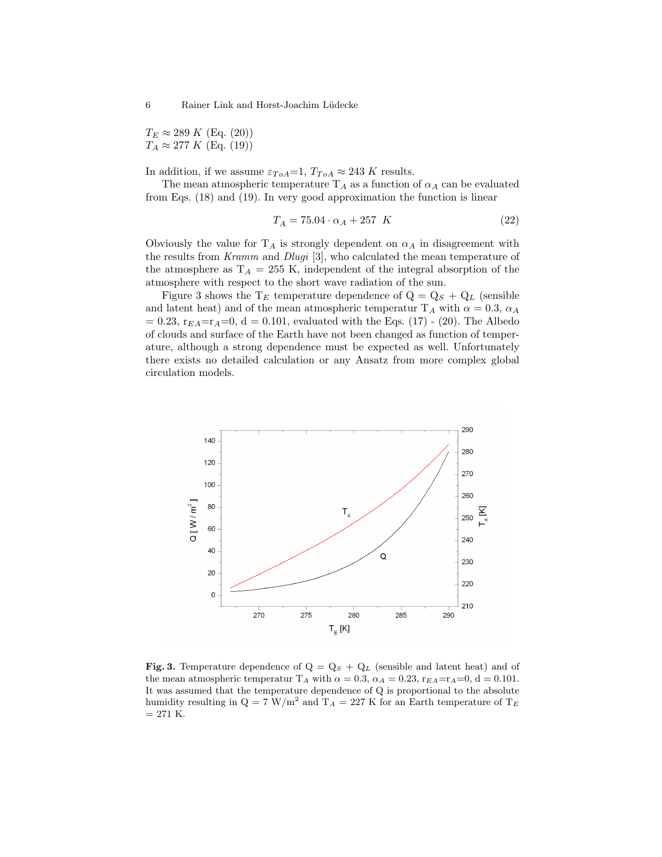$T_E \approx 289 \ K \ (Eq. (20))$  $T_A \approx 277 K$  (Eq. (19))

In addition, if we assume  $\varepsilon_{ToA}=1$ ,  $T_{ToA} \approx 243$  K results.

The mean atmospheric temperature  $T_A$  as a function of  $\alpha_A$  can be evaluated from Eqs. (18) and (19). In very good approximation the function is linear

$$
T_A = 75.04 \cdot \alpha_A + 257 \quad K \tag{22}
$$

Obviously the value for  $T_A$  is strongly dependent on  $\alpha_A$  in disagreement with the results from Kramm and Dlugi [3], who calculated the mean temperature of the atmosphere as  $T_A = 255$  K, independent of the integral absorption of the atmosphere with respect to the short wave radiation of the sun.

Figure 3 shows the  $T_E$  temperature dependence of  $Q = Q_S + Q_L$  (sensible and latent heat) and of the mean atmospheric temperatur T<sub>A</sub> with  $\alpha = 0.3$ ,  $\alpha_A$  $= 0.23$ ,  $r_{EA} = r_A = 0$ ,  $d = 0.101$ , evaluated with the Eqs. (17) - (20). The Albedo of clouds and surface of the Earth have not been changed as function of temperature, although a strong dependence must be expected as well. Unfortunately there exists no detailed calculation or any Ansatz from more complex global circulation models.



Fig. 3. Temperature dependence of  $Q = Q_S + Q_L$  (sensible and latent heat) and of the mean atmospheric temperatur T<sub>A</sub> with  $\alpha = 0.3$ ,  $\alpha_A = 0.23$ ,  $r_{EA} = r_A = 0$ , d = 0.101. It was assumed that the temperature dependence of Q is proportional to the absolute humidity resulting in  $Q = 7$  W/m<sup>2</sup> and T<sub>A</sub> = 227 K for an Earth temperature of T<sub>E</sub>  $= 271$  K.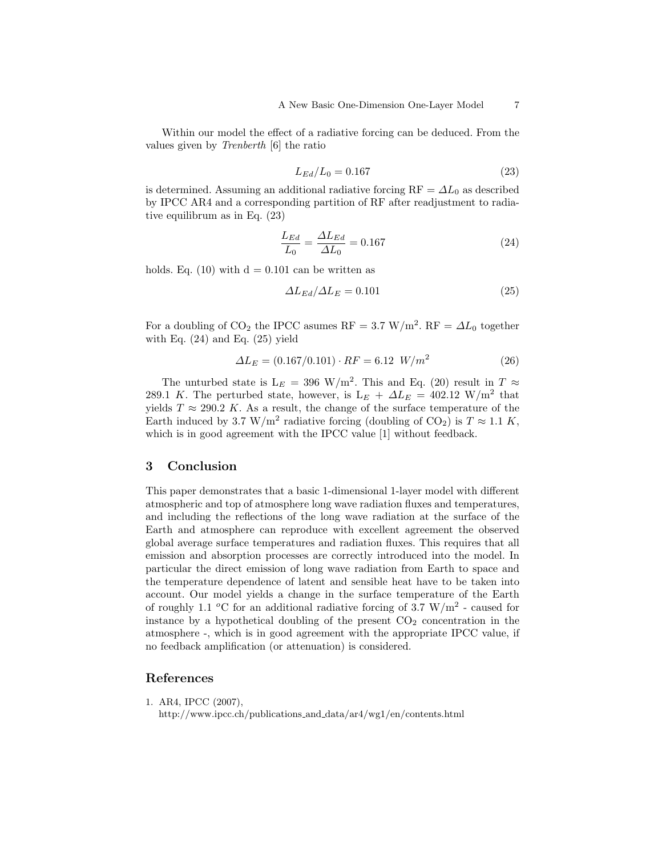Within our model the effect of a radiative forcing can be deduced. From the values given by Trenberth [6] the ratio

$$
L_{Ed}/L_0 = 0.167\tag{23}
$$

is determined. Assuming an additional radiative forcing  $RF = \Delta L_0$  as described by IPCC AR4 and a corresponding partition of RF after readjustment to radiative equilibrum as in Eq. (23)

$$
\frac{L_{Ed}}{L_0} = \frac{\Delta L_{Ed}}{\Delta L_0} = 0.167
$$
\n(24)

holds. Eq. (10) with  $d = 0.101$  can be written as

$$
\Delta L_{Ed} / \Delta L_E = 0.101\tag{25}
$$

For a doubling of CO<sub>2</sub> the IPCC asumes RF = 3.7 W/m<sup>2</sup>. RF =  $\Delta L_0$  together with Eq.  $(24)$  and Eq.  $(25)$  yield

$$
\Delta L_E = (0.167/0.101) \cdot RF = 6.12 \ W/m^2 \tag{26}
$$

The unturbed state is  $L_E = 396 \text{ W/m}^2$ . This and Eq. (20) result in  $T \approx$ 289.1 K. The perturbed state, however, is  $L_E + \Delta L_E = 402.12 \text{ W/m}^2$  that yields  $T \approx 290.2$  K. As a result, the change of the surface temperature of the Earth induced by 3.7 W/m<sup>2</sup> radiative forcing (doubling of CO<sub>2</sub>) is  $T \approx 1.1 K$ , which is in good agreement with the IPCC value [1] without feedback.

#### 3 Conclusion

This paper demonstrates that a basic 1-dimensional 1-layer model with different atmospheric and top of atmosphere long wave radiation fluxes and temperatures, and including the reflections of the long wave radiation at the surface of the Earth and atmosphere can reproduce with excellent agreement the observed global average surface temperatures and radiation fluxes. This requires that all emission and absorption processes are correctly introduced into the model. In particular the direct emission of long wave radiation from Earth to space and the temperature dependence of latent and sensible heat have to be taken into account. Our model yields a change in the surface temperature of the Earth of roughly 1.1 <sup>o</sup>C for an additional radiative forcing of 3.7 W/m<sup>2</sup> - caused for instance by a hypothetical doubling of the present  $CO<sub>2</sub>$  concentration in the atmosphere -, which is in good agreement with the appropriate IPCC value, if no feedback amplification (or attenuation) is considered.

### References

- 1. AR4, IPCC (2007),
	- http://www.ipcc.ch/publications and data/ar4/wg1/en/contents.html